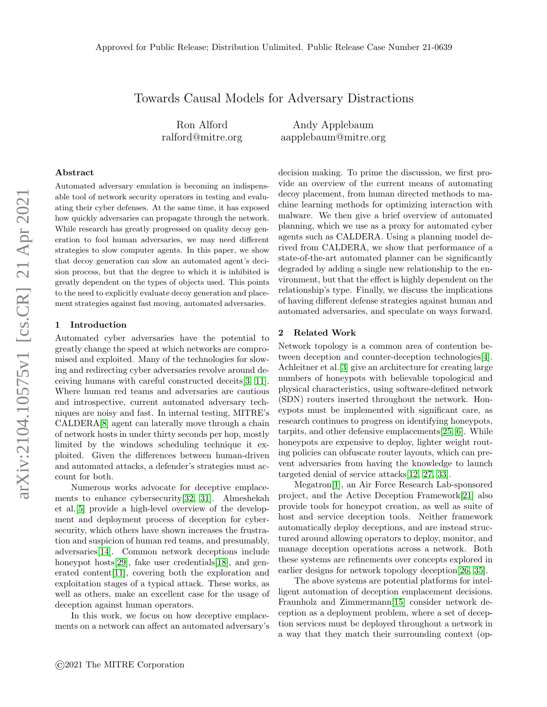# Towards Causal Models for Adversary Distractions

Ron Alford ralford@mitre.org

Andy Applebaum aapplebaum@mitre.org

## Abstract

Automated adversary emulation is becoming an indispensable tool of network security operators in testing and evaluating their cyber defenses. At the same time, it has exposed how quickly adversaries can propagate through the network. While research has greatly progressed on quality decoy generation to fool human adversaries, we may need different strategies to slow computer agents. In this paper, we show that decoy generation can slow an automated agent's decision process, but that the degree to which it is inhibited is greatly dependent on the types of objects used. This points to the need to explicitly evaluate decoy generation and placement strategies against fast moving, automated adversaries.

### 1 Introduction

Automated cyber adversaries have the potential to greatly change the speed at which networks are compromised and exploited. Many of the technologies for slowing and redirecting cyber adversaries revolve around deceiving humans with careful constructed deceits[\[3,](#page-4-0) [11\]](#page-4-1). Where human red teams and adversaries are cautious and introspective, current automated adversary techniques are noisy and fast. In internal testing, MITRE's CALDERA[\[8\]](#page-4-2) agent can laterally move through a chain of network hosts in under thirty seconds per hop, mostly limited by the windows scheduling technique it exploited. Given the differences between human-driven and automated attacks, a defender's strategies must account for both.

Numerous works advocate for deceptive emplacements to enhance cybersecurity[\[32,](#page-5-0) [31\]](#page-5-1). Almeshekah et al.[\[5\]](#page-4-3) provide a high-level overview of the development and deployment process of deception for cybersecurity, which others have shown increases the frustration and suspicion of human red teams, and presumably, adversaries[\[14\]](#page-4-4). Common network deceptions include honeypot hosts[\[29\]](#page-5-2), fake user credentials[\[18\]](#page-4-5), and generated content[\[11\]](#page-4-1), covering both the exploration and exploitation stages of a typical attack. These works, as well as others, make an excellent case for the usage of deception against human operators.

In this work, we focus on how deceptive emplacements on a network can affect an automated adversary's decision making. To prime the discussion, we first provide an overview of the current means of automating decoy placement, from human directed methods to machine learning methods for optimizing interaction with malware. We then give a brief overview of automated planning, which we use as a proxy for automated cyber agents such as CALDERA. Using a planning model derived from CALDERA, we show that performance of a state-of-the-art automated planner can be significantly degraded by adding a single new relationship to the environment, but that the effect is highly dependent on the relationship's type. Finally, we discuss the implications of having different defense strategies against human and automated adversaries, and speculate on ways forward.

## 2 Related Work

Network topology is a common area of contention between deception and counter-deception technologies[\[4\]](#page-4-6). Achleitner et al.[\[3\]](#page-4-0) give an architecture for creating large numbers of honeypots with believable topological and physical characteristics, using software-defined network (SDN) routers inserted throughout the network. Honeypots must be implemented with significant care, as research continues to progress on identifying honeypots, tarpits, and other defensive emplacements[\[25,](#page-5-3) [6\]](#page-4-7). While honeypots are expensive to deploy, lighter weight routing policies can obfuscate router layouts, which can prevent adversaries from having the knowledge to launch targeted denial of service attacks[\[12,](#page-4-8) [27,](#page-5-4) [33\]](#page-5-5).

Megatron[\[1\]](#page-4-9), an Air Force Research Lab-sponsored project, and the Active Deception Framework[\[21\]](#page-4-10) also provide tools for honeypot creation, as well as suite of host and service deception tools. Neither framework automatically deploy deceptions, and are instead structured around allowing operators to deploy, monitor, and manage deception operations across a network. Both these systems are refinements over concepts explored in earlier designs for network topology deception[\[26,](#page-5-6) [35\]](#page-5-7).

The above systems are potential platforms for intelligent automation of deception emplacement decisions. Fraunholz and Zimmermann[\[15\]](#page-4-11) consider network deception as a deployment problem, where a set of deception services must be deployed throughout a network in a way that they match their surrounding context (op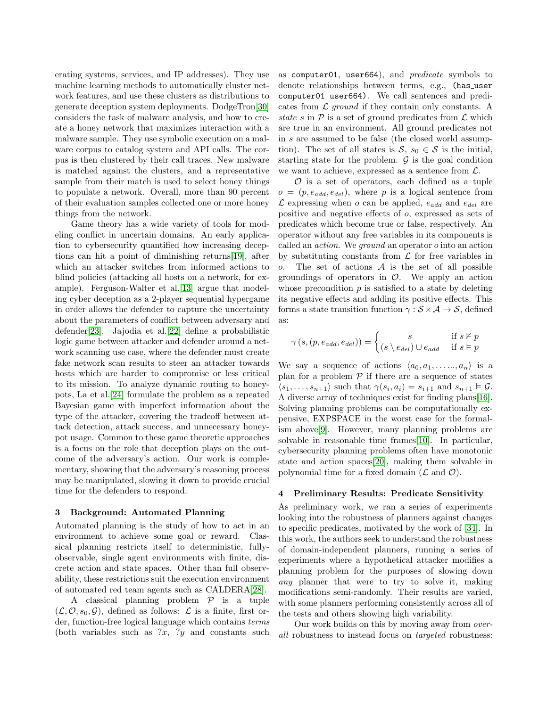erating systems, services, and IP addresses). They use machine learning methods to automatically cluster network features, and use these clusters as distributions to generate deception system deployments. DodgeTron[\[30\]](#page-5-8) considers the task of malware analysis, and how to create a honey network that maximizes interaction with a malware sample. They use symbolic execution on a malware corpus to catalog system and API calls. The corpus is then clustered by their call traces. New malware is matched against the clusters, and a representative sample from their match is used to select honey things to populate a network. Overall, more than 90 percent of their evaluation samples collected one or more honey things from the network.

Game theory has a wide variety of tools for modeling conflict in uncertain domains. An early application to cybersecurity quantified how increasing deceptions can hit a point of diminishing returns[\[19\]](#page-4-12), after which an attacker switches from informed actions to blind policies (attacking all hosts on a network, for example). Ferguson-Walter et al.[\[13\]](#page-4-13) argue that modeling cyber deception as a 2-player sequential hypergame in order allows the defender to capture the uncertainty about the parameters of conflict between adversary and defender[\[23\]](#page-5-9). Jajodia et al.[\[22\]](#page-5-10) define a probabilistic logic game between attacker and defender around a network scanning use case, where the defender must create fake network scan results to steer an attacker towards hosts which are harder to compromise or less critical to its mission. To analyze dynamic routing to honeypots, La et al.[\[24\]](#page-5-11) formulate the problem as a repeated Bayesian game with imperfect information about the type of the attacker, covering the tradeoff between attack detection, attack success, and unnecessary honeypot usage. Common to these game theoretic approaches is a focus on the role that deception plays on the outcome of the adversary's action. Our work is complementary, showing that the adversary's reasoning process may be manipulated, slowing it down to provide crucial time for the defenders to respond.

#### 3 Background: Automated Planning

Automated planning is the study of how to act in an environment to achieve some goal or reward. Classical planning restricts itself to deterministic, fullyobservable, single agent environments with finite, discrete action and state spaces. Other than full observability, these restrictions suit the execution environment of automated red team agents such as CALDERA[\[28\]](#page-5-12).

A classical planning problem  $P$  is a tuple  $(\mathcal{L}, \mathcal{O}, s_0, \mathcal{G})$ , defined as follows:  $\mathcal{L}$  is a finite, first order, function-free logical language which contains terms (both variables such as  $x, y$  and constants such

as computer01, user664), and predicate symbols to denote relationships between terms, e.g., (has user computer01 user664). We call sentences and predicates from  $\mathcal L$  ground if they contain only constants. A state s in  $P$  is a set of ground predicates from  $\mathcal L$  which are true in an environment. All ground predicates not in s are assumed to be false (the closed world assumption). The set of all states is  $S, s_0 \in S$  is the initial, starting state for the problem.  $\mathcal G$  is the goal condition we want to achieve, expressed as a sentence from  $\mathcal{L}$ .

 $\mathcal O$  is a set of operators, each defined as a tuple  $o = (p, e_{add}, e_{del})$ , where p is a logical sentence from  $\mathcal L$  expressing when  $o$  can be applied,  $e_{add}$  and  $e_{del}$  are positive and negative effects of o, expressed as sets of predicates which become true or false, respectively. An operator without any free variables in its components is called an *action*. We *ground* an operator  $o$  into an action by substituting constants from  $\mathcal L$  for free variables in o. The set of actions  $A$  is the set of all possible groundings of operators in  $\mathcal{O}$ . We apply an action whose precondition  $p$  is satisfied to a state by deleting its negative effects and adding its positive effects. This forms a state transition function  $\gamma : \mathcal{S} \times \mathcal{A} \to \mathcal{S}$ , defined as:

$$
\gamma\left(s,\left(p,e_{add},e_{del}\right)\right)=\begin{cases} s & \text{if } s\not \vDash p\\ \left(s\setminus e_{del}\right)\cup e_{add} & \text{if } s\vDash p \end{cases}
$$

We say a sequence of actions  $\langle a_0, a_1, \ldots, a_n \rangle$  is a plan for a problem  $P$  if there are a sequence of states  $\langle s_1, \ldots, s_{n+1} \rangle$  such that  $\gamma(s_i, a_i) = s_{i+1}$  and  $s_{n+1} \models \mathcal{G}$ . A diverse array of techniques exist for finding plans[\[16\]](#page-4-14). Solving planning problems can be computationally expensive, EXPSPACE in the worst case for the formalism above[\[9\]](#page-4-15). However, many planning problems are solvable in reasonable time frames[\[10\]](#page-4-16). In particular, cybersecurity planning problems often have monotonic state and action spaces[\[20\]](#page-4-17), making them solvable in polynomial time for a fixed domain  $(\mathcal{L}$  and  $\mathcal{O})$ .

#### <span id="page-1-0"></span>4 Preliminary Results: Predicate Sensitivity

As preliminary work, we ran a series of experiments looking into the robustness of planners against changes to specific predicates, motivated by the work of [\[34\]](#page-5-13). In this work, the authors seek to understand the robustness of domain-independent planners, running a series of experiments where a hypothetical attacker modifies a planning problem for the purposes of slowing down any planner that were to try to solve it, making modifications semi-randomly. Their results are varied, with some planners performing consistently across all of the tests and others showing high variability.

Our work builds on this by moving away from overall robustness to instead focus on targeted robustness: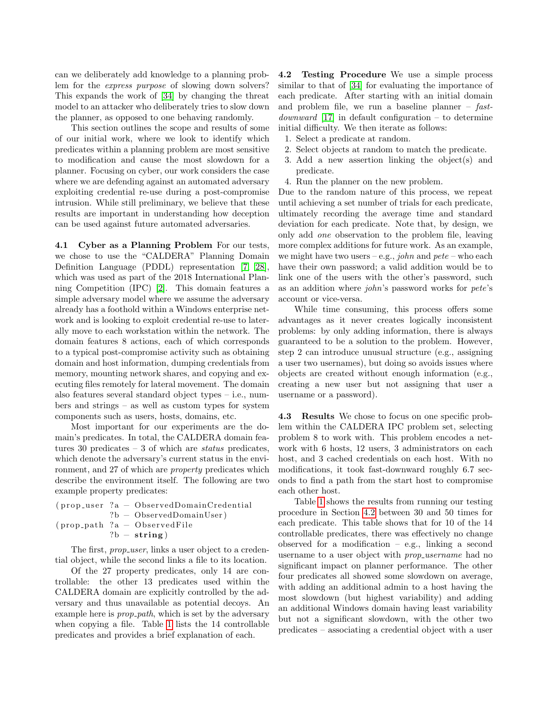can we deliberately add knowledge to a planning problem for the express purpose of slowing down solvers? This expands the work of [\[34\]](#page-5-13) by changing the threat model to an attacker who deliberately tries to slow down the planner, as opposed to one behaving randomly.

This section outlines the scope and results of some of our initial work, where we look to identify which predicates within a planning problem are most sensitive to modification and cause the most slowdown for a planner. Focusing on cyber, our work considers the case where we are defending against an automated adversary exploiting credential re-use during a post-compromise intrusion. While still preliminary, we believe that these results are important in understanding how deception can be used against future automated adversaries.

4.1 Cyber as a Planning Problem For our tests, we chose to use the "CALDERA" Planning Domain Definition Language (PDDL) representation [\[7,](#page-4-18) [28\]](#page-5-12), which was used as part of the 2018 International Planning Competition (IPC) [\[2\]](#page-4-19). This domain features a simple adversary model where we assume the adversary already has a foothold within a Windows enterprise network and is looking to exploit credential re-use to laterally move to each workstation within the network. The domain features 8 actions, each of which corresponds to a typical post-compromise activity such as obtaining domain and host information, dumping credentials from memory, mounting network shares, and copying and executing files remotely for lateral movement. The domain also features several standard object types – i.e., numbers and strings – as well as custom types for system components such as users, hosts, domains, etc.

Most important for our experiments are the domain's predicates. In total, the CALDERA domain features 30 predicates  $-3$  of which are *status* predicates, which denote the adversary's current status in the environment, and 27 of which are property predicates which describe the environment itself. The following are two example property predicates:

| $(\text{prop\_user} ?a - ObservedDomainCredential)$ |
|-----------------------------------------------------|
| $?b - ObservedDomainUser)$                          |
| $(\text{prop-path} ?a - ObservedFile)$              |
| $?b - string)$                                      |
|                                                     |

The first, *prop\_user*, links a user object to a credential object, while the second links a file to its location.

Of the 27 property predicates, only 14 are controllable: the other 13 predicates used within the CALDERA domain are explicitly controlled by the adversary and thus unavailable as potential decoys. An example here is *prop\_path*, which is set by the adversary when copying a file. Table [1](#page-3-0) lists the 14 controllable predicates and provides a brief explanation of each.

<span id="page-2-0"></span>4.2 Testing Procedure We use a simple process similar to that of [\[34\]](#page-5-13) for evaluating the importance of each predicate. After starting with an initial domain and problem file, we run a baseline planner  $-$  fast $downward$  [\[17\]](#page-4-20) in default configuration – to determine initial difficulty. We then iterate as follows:

- 1. Select a predicate at random.
- 2. Select objects at random to match the predicate.
- 3. Add a new assertion linking the object(s) and predicate.
- 4. Run the planner on the new problem.

Due to the random nature of this process, we repeat until achieving a set number of trials for each predicate, ultimately recording the average time and standard deviation for each predicate. Note that, by design, we only add one observation to the problem file, leaving more complex additions for future work. As an example, we might have two users – e.g., *john* and  $pete$  – who each have their own password; a valid addition would be to link one of the users with the other's password, such as an addition where john's password works for pete's account or vice-versa.

While time consuming, this process offers some advantages as it never creates logically inconsistent problems: by only adding information, there is always guaranteed to be a solution to the problem. However, step 2 can introduce unusual structure (e.g., assigning a user two usernames), but doing so avoids issues where objects are created without enough information (e.g., creating a new user but not assigning that user a username or a password).

4.3 Results We chose to focus on one specific problem within the CALDERA IPC problem set, selecting problem 8 to work with. This problem encodes a network with 6 hosts, 12 users, 3 administrators on each host, and 3 cached credentials on each host. With no modifications, it took fast-downward roughly 6.7 seconds to find a path from the start host to compromise each other host.

Table [1](#page-3-0) shows the results from running our testing procedure in Section [4.2](#page-2-0) between 30 and 50 times for each predicate. This table shows that for 10 of the 14 controllable predicates, there was effectively no change observed for a modification – e.g., linking a second username to a user object with *prop\_username* had no significant impact on planner performance. The other four predicates all showed some slowdown on average, with adding an additional admin to a host having the most slowdown (but highest variability) and adding an additional Windows domain having least variability but not a significant slowdown, with the other two predicates – associating a credential object with a user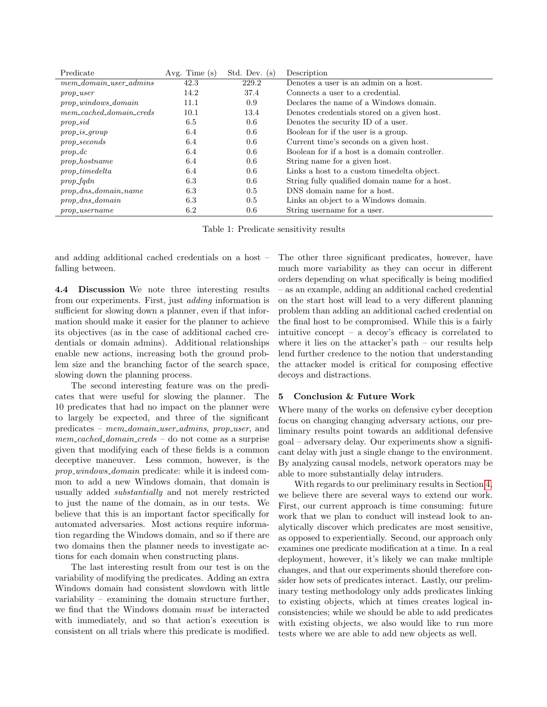| Predicate                    | Avg. Time $(s)$ | Std. Dev. $(s)$ | Description                                    |
|------------------------------|-----------------|-----------------|------------------------------------------------|
| $mem\_domain\_user\_admins$  | 42.3            | 229.2           | Denotes a user is an admin on a host.          |
| $prop\_user$                 | 14.2            | 37.4            | Connects a user to a credential.               |
| $prop\_windows\_domain$      | 11.1            | 0.9             | Declares the name of a Windows domain.         |
| $mem\_cached\_domain\_creds$ | 10.1            | 13.4            | Denotes credentials stored on a given host.    |
| $prop\_sid$                  | 6.5             | 0.6             | Denotes the security ID of a user.             |
| $prop\_is\_group$            | 6.4             | 0.6             | Boolean for if the user is a group.            |
| $prop\_seconds$              | 6.4             | 0.6             | Current time's seconds on a given host.        |
| $prop\_dc$                   | 6.4             | 0.6             | Boolean for if a host is a domain controller.  |
| $prop\_hostname$             | 6.4             | 0.6             | String name for a given host.                  |
| $prop\_timedelta$            | 6.4             | 0.6             | Links a host to a custom timedelta object.     |
| $prop\_fqdn$                 | 6.3             | 0.6             | String fully qualified domain name for a host. |
| $prop\_dns\_domain\_name$    | 6.3             | 0.5             | DNS domain name for a host.                    |
| $prop\_dns\_domain$          | 6.3             | 0.5             | Links an object to a Windows domain.           |
| $prop\_usename$              | 6.2             | $0.6\,$         | String username for a user.                    |

<span id="page-3-0"></span>Table 1: Predicate sensitivity results

and adding additional cached credentials on a host – falling between.

4.4 Discussion We note three interesting results from our experiments. First, just adding information is sufficient for slowing down a planner, even if that information should make it easier for the planner to achieve its objectives (as in the case of additional cached credentials or domain admins). Additional relationships enable new actions, increasing both the ground problem size and the branching factor of the search space, slowing down the planning process.

The second interesting feature was on the predicates that were useful for slowing the planner. The 10 predicates that had no impact on the planner were to largely be expected, and three of the significant predicates – mem domain user admins, prop user, and  $mem\_cached\_domain\_creds$  – do not come as a surprise given that modifying each of these fields is a common deceptive maneuver. Less common, however, is the prop windows domain predicate: while it is indeed common to add a new Windows domain, that domain is usually added substantially and not merely restricted to just the name of the domain, as in our tests. We believe that this is an important factor specifically for automated adversaries. Most actions require information regarding the Windows domain, and so if there are two domains then the planner needs to investigate actions for each domain when constructing plans.

The last interesting result from our test is on the variability of modifying the predicates. Adding an extra Windows domain had consistent slowdown with little variability – examining the domain structure further, we find that the Windows domain must be interacted with immediately, and so that action's execution is consistent on all trials where this predicate is modified.

The other three significant predicates, however, have much more variability as they can occur in different orders depending on what specifically is being modified – as an example, adding an additional cached credential on the start host will lead to a very different planning problem than adding an additional cached credential on the final host to be compromised. While this is a fairly intuitive concept – a decoy's efficacy is correlated to where it lies on the attacker's path – our results help lend further credence to the notion that understanding the attacker model is critical for composing effective decoys and distractions.

## 5 Conclusion & Future Work

Where many of the works on defensive cyber deception focus on changing changing adversary actions, our preliminary results point towards an additional defensive goal – adversary delay. Our experiments show a significant delay with just a single change to the environment. By analyzing causal models, network operators may be able to more substantially delay intruders.

With regards to our preliminary results in Section [4,](#page-1-0) we believe there are several ways to extend our work. First, our current approach is time consuming: future work that we plan to conduct will instead look to analytically discover which predicates are most sensitive, as opposed to experientially. Second, our approach only examines one predicate modification at a time. In a real deployment, however, it's likely we can make multiple changes, and that our experiments should therefore consider how sets of predicates interact. Lastly, our preliminary testing methodology only adds predicates linking to existing objects, which at times creates logical inconsistencies; while we should be able to add predicates with existing objects, we also would like to run more tests where we are able to add new objects as well.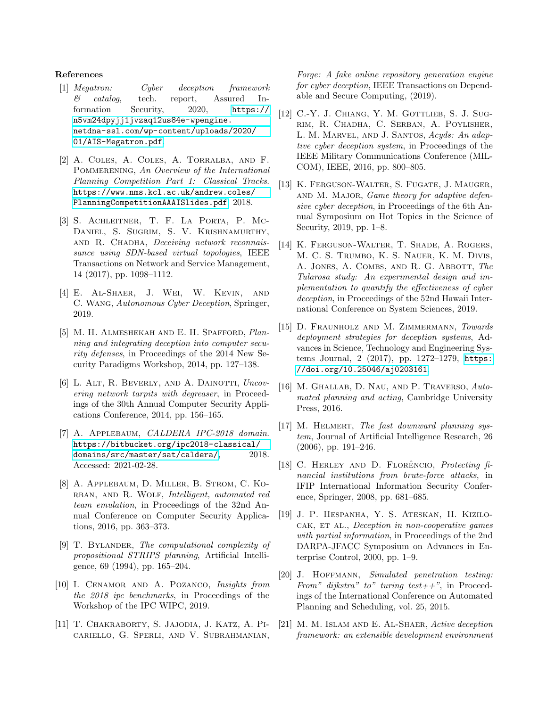#### References

- <span id="page-4-9"></span>[1] Megatron: Cyber deception framework & catalog, tech. report, Assured Information Security, 2020, [https://](https://n5vm24dpyjj1jvzaq12us84e-wpengine.netdna-ssl.com/wp-content/uploads/2020/01/AIS-Megatron.pdf) [n5vm24dpyjj1jvzaq12us84e-wpengine.](https://n5vm24dpyjj1jvzaq12us84e-wpengine.netdna-ssl.com/wp-content/uploads/2020/01/AIS-Megatron.pdf) [netdna-ssl.com/wp-content/uploads/2020/](https://n5vm24dpyjj1jvzaq12us84e-wpengine.netdna-ssl.com/wp-content/uploads/2020/01/AIS-Megatron.pdf) [01/AIS-Megatron.pdf](https://n5vm24dpyjj1jvzaq12us84e-wpengine.netdna-ssl.com/wp-content/uploads/2020/01/AIS-Megatron.pdf).
- <span id="page-4-19"></span>[2] A. Coles, A. Coles, A. Torralba, and F. POMMERENING, An Overview of the International Planning Competition Part 1: Classical Tracks. [https://www.nms.kcl.ac.uk/andrew.coles/](https://www.nms.kcl.ac.uk/andrew.coles/PlanningCompetitionAAAISlides.pdf) [PlanningCompetitionAAAISlides.pdf](https://www.nms.kcl.ac.uk/andrew.coles/PlanningCompetitionAAAISlides.pdf), 2018.
- <span id="page-4-0"></span>[3] S. Achleitner, T. F. La Porta, P. Mc-Daniel, S. Sugrim, S. V. Krishnamurthy, and R. Chadha, Deceiving network reconnaissance using SDN-based virtual topologies, IEEE Transactions on Network and Service Management, 14 (2017), pp. 1098–1112.
- <span id="page-4-6"></span>[4] E. Al-Shaer, J. Wei, W. Kevin, and C. Wang, Autonomous Cyber Deception, Springer, 2019.
- <span id="page-4-3"></span>[5] M. H. Almeshekah and E. H. Spafford, Planning and integrating deception into computer security defenses, in Proceedings of the 2014 New Security Paradigms Workshop, 2014, pp. 127–138.
- <span id="page-4-7"></span>[6] L. ALT, R. BEVERLY, AND A. DAINOTTI, Uncovering network tarpits with degreaser, in Proceedings of the 30th Annual Computer Security Applications Conference, 2014, pp. 156–165.
- <span id="page-4-18"></span>[7] A. APPLEBAUM, CALDERA IPC-2018 domain. [https://bitbucket.org/ipc2018-classical/](https://bitbucket.org/ipc2018-classical/domains/src/master/sat/caldera/) [domains/src/master/sat/caldera/](https://bitbucket.org/ipc2018-classical/domains/src/master/sat/caldera/), 2018. Accessed: 2021-02-28.
- <span id="page-4-2"></span>[8] A. Applebaum, D. Miller, B. Strom, C. Ko-RBAN, AND R. WOLF, Intelligent, automated red team emulation, in Proceedings of the 32nd Annual Conference on Computer Security Applications, 2016, pp. 363–373.
- <span id="page-4-15"></span>[9] T. BYLANDER, The computational complexity of propositional STRIPS planning, Artificial Intelligence, 69 (1994), pp. 165–204.
- <span id="page-4-16"></span>[10] I. CENAMOR AND A. POZANCO, Insights from the 2018 ipc benchmarks, in Proceedings of the Workshop of the IPC WIPC, 2019.
- <span id="page-4-1"></span>[11] T. Chakraborty, S. Jajodia, J. Katz, A. Picariello, G. Sperli, and V. Subrahmanian,

Forge: A fake online repository generation engine for cyber deception, IEEE Transactions on Dependable and Secure Computing, (2019).

- <span id="page-4-8"></span>[12] C.-Y. J. CHIANG, Y. M. GOTTLIEB, S. J. SUGrim, R. Chadha, C. Serban, A. Poylisher, L. M. MARVEL, AND J. SANTOS, Acyds: An adaptive cyber deception system, in Proceedings of the IEEE Military Communications Conference (MIL-COM), IEEE, 2016, pp. 800–805.
- <span id="page-4-13"></span>[13] K. FERGUSON-WALTER, S. FUGATE, J. MAUGER, and M. Major, Game theory for adaptive defensive cyber deception, in Proceedings of the 6th Annual Symposium on Hot Topics in the Science of Security, 2019, pp. 1–8.
- <span id="page-4-4"></span>[14] K. FERGUSON-WALTER, T. SHADE, A. ROGERS, M. C. S. Trumbo, K. S. Nauer, K. M. Divis, A. JONES, A. COMBS, AND R. G. ABBOTT, The Tularosa study: An experimental design and implementation to quantify the effectiveness of cyber deception, in Proceedings of the 52nd Hawaii International Conference on System Sciences, 2019.
- <span id="page-4-11"></span>[15] D. FRAUNHOLZ AND M. ZIMMERMANN, Towards deployment strategies for deception systems, Advances in Science, Technology and Engineering Systems Journal, 2 (2017), pp. 1272–1279, [https:](https://doi.org/10.25046/aj0203161) [//doi.org/10.25046/aj0203161](https://doi.org/10.25046/aj0203161).
- <span id="page-4-14"></span>[16] M. GHALLAB, D. NAU, AND P. TRAVERSO, Automated planning and acting, Cambridge University Press, 2016.
- <span id="page-4-20"></span>[17] M. HELMERT, The fast downward planning system, Journal of Artificial Intelligence Research, 26 (2006), pp. 191–246.
- <span id="page-4-5"></span>[18] C. HERLEY AND D. FLORÊNCIO, Protecting  $f_i$ nancial institutions from brute-force attacks, in IFIP International Information Security Conference, Springer, 2008, pp. 681–685.
- <span id="page-4-12"></span>[19] J. P. Hespanha, Y. S. Ateskan, H. Kizilo-CAK, ET AL., Deception in non-cooperative games with partial information, in Proceedings of the 2nd DARPA-JFACC Symposium on Advances in Enterprise Control, 2000, pp. 1–9.
- <span id="page-4-17"></span>[20] J. HOFFMANN, Simulated penetration testing: From" dijkstra" to" turing test $++$ ", in Proceedings of the International Conference on Automated Planning and Scheduling, vol. 25, 2015.
- <span id="page-4-10"></span>[21] M. M. ISLAM AND E. AL-SHAER, Active deception framework: an extensible development environment